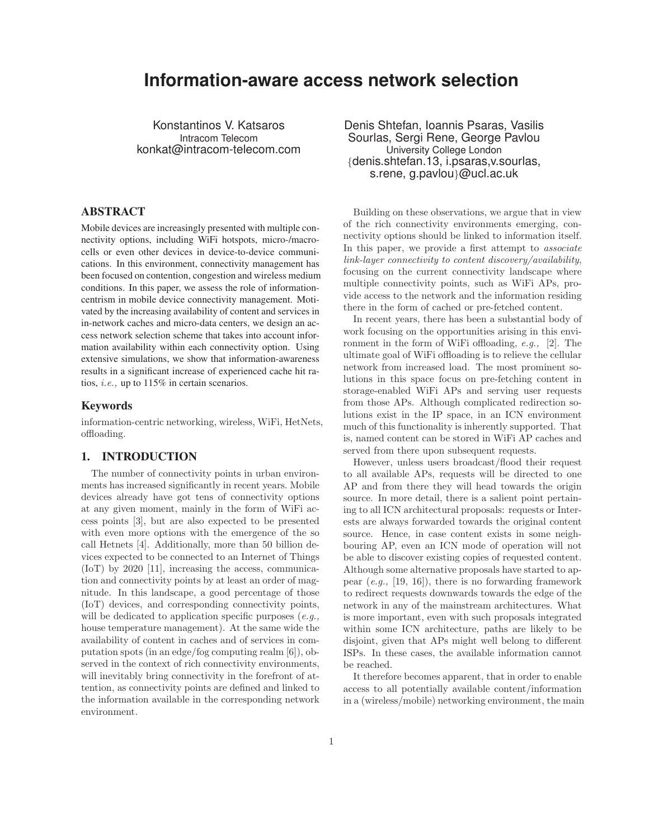# **Information-aware access network selection**

Konstantinos V. Katsaros Intracom Telecom konkat@intracom-telecom.com

# ABSTRACT

Mobile devices are increasingly presented with multiple connectivity options, including WiFi hotspots, micro-/macrocells or even other devices in device-to-device communications. In this environment, connectivity management has been focused on contention, congestion and wireless medium conditions. In this paper, we assess the role of informationcentrism in mobile device connectivity management. Motivated by the increasing availability of content and services in in-network caches and micro-data centers, we design an access network selection scheme that takes into account information availability within each connectivity option. Using extensive simulations, we show that information-awareness results in a significant increase of experienced cache hit ratios, i.e., up to 115% in certain scenarios.

# Keywords

information-centric networking, wireless, WiFi, HetNets, offloading.

# 1. INTRODUCTION

The number of connectivity points in urban environments has increased significantly in recent years. Mobile devices already have got tens of connectivity options at any given moment, mainly in the form of WiFi access points [3], but are also expected to be presented with even more options with the emergence of the so call Hetnets [4]. Additionally, more than 50 billion devices expected to be connected to an Internet of Things (IoT) by 2020 [11], increasing the access, communication and connectivity points by at least an order of magnitude. In this landscape, a good percentage of those (IoT) devices, and corresponding connectivity points, will be dedicated to application specific purposes (e.g., house temperature management). At the same wide the availability of content in caches and of services in computation spots (in an edge/fog computing realm [6]), observed in the context of rich connectivity environments, will inevitably bring connectivity in the forefront of attention, as connectivity points are defined and linked to the information available in the corresponding network environment.

Denis Shtefan, Ioannis Psaras, Vasilis Sourlas, Sergi Rene, George Pavlou University College London {denis.shtefan.13, i.psaras,v.sourlas, s.rene, g.pavlou}@ucl.ac.uk

Building on these observations, we argue that in view of the rich connectivity environments emerging, connectivity options should be linked to information itself. In this paper, we provide a first attempt to *associate* link-layer connectivity to content discovery/availability, focusing on the current connectivity landscape where multiple connectivity points, such as WiFi APs, provide access to the network and the information residing there in the form of cached or pre-fetched content.

In recent years, there has been a substantial body of work focusing on the opportunities arising in this environment in the form of WiFi offloading, e.g., [2]. The ultimate goal of WiFi offloading is to relieve the cellular network from increased load. The most prominent solutions in this space focus on pre-fetching content in storage-enabled WiFi APs and serving user requests from those APs. Although complicated redirection solutions exist in the IP space, in an ICN environment much of this functionality is inherently supported. That is, named content can be stored in WiFi AP caches and served from there upon subsequent requests.

However, unless users broadcast/flood their request to all available APs, requests will be directed to one AP and from there they will head towards the origin source. In more detail, there is a salient point pertaining to all ICN architectural proposals: requests or Interests are always forwarded towards the original content source. Hence, in case content exists in some neighbouring AP, even an ICN mode of operation will not be able to discover existing copies of requested content. Although some alternative proposals have started to appear  $(e,q, 19, 16)$ , there is no forwarding framework to redirect requests downwards towards the edge of the network in any of the mainstream architectures. What is more important, even with such proposals integrated within some ICN architecture, paths are likely to be disjoint, given that APs might well belong to different ISPs. In these cases, the available information cannot be reached.

It therefore becomes apparent, that in order to enable access to all potentially available content/information in a (wireless/mobile) networking environment, the main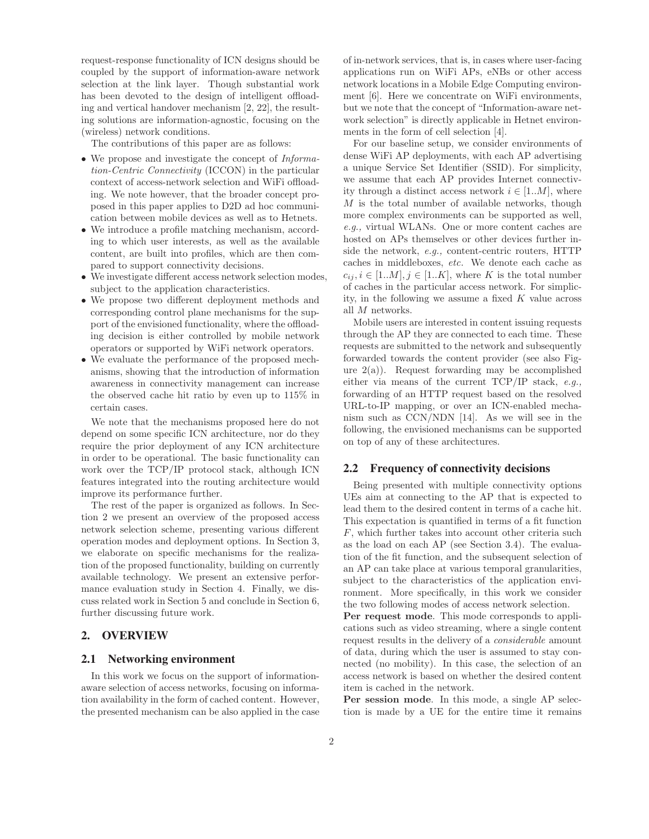request-response functionality of ICN designs should be coupled by the support of information-aware network selection at the link layer. Though substantial work has been devoted to the design of intelligent offloading and vertical handover mechanism [2, 22], the resulting solutions are information-agnostic, focusing on the (wireless) network conditions.

The contributions of this paper are as follows:

- We propose and investigate the concept of *Informa*tion-Centric Connectivity (ICCON) in the particular context of access-network selection and WiFi offloading. We note however, that the broader concept proposed in this paper applies to D2D ad hoc communication between mobile devices as well as to Hetnets.
- We introduce a profile matching mechanism, according to which user interests, as well as the available content, are built into profiles, which are then compared to support connectivity decisions.
- We investigate different access network selection modes, subject to the application characteristics.
- We propose two different deployment methods and corresponding control plane mechanisms for the support of the envisioned functionality, where the offloading decision is either controlled by mobile network operators or supported by WiFi network operators.
- We evaluate the performance of the proposed mechanisms, showing that the introduction of information awareness in connectivity management can increase the observed cache hit ratio by even up to 115% in certain cases.

We note that the mechanisms proposed here do not depend on some specific ICN architecture, nor do they require the prior deployment of any ICN architecture in order to be operational. The basic functionality can work over the TCP/IP protocol stack, although ICN features integrated into the routing architecture would improve its performance further.

The rest of the paper is organized as follows. In Section 2 we present an overview of the proposed access network selection scheme, presenting various different operation modes and deployment options. In Section 3, we elaborate on specific mechanisms for the realization of the proposed functionality, building on currently available technology. We present an extensive performance evaluation study in Section 4. Finally, we discuss related work in Section 5 and conclude in Section 6, further discussing future work.

## 2. OVERVIEW

#### 2.1 Networking environment

In this work we focus on the support of informationaware selection of access networks, focusing on information availability in the form of cached content. However, the presented mechanism can be also applied in the case of in-network services, that is, in cases where user-facing applications run on WiFi APs, eNBs or other access network locations in a Mobile Edge Computing environment [6]. Here we concentrate on WiFi environments, but we note that the concept of "Information-aware network selection" is directly applicable in Hetnet environments in the form of cell selection [4].

For our baseline setup, we consider environments of dense WiFi AP deployments, with each AP advertising a unique Service Set Identifier (SSID). For simplicity, we assume that each AP provides Internet connectivity through a distinct access network  $i \in [1..M]$ , where M is the total number of available networks, though more complex environments can be supported as well, e.g., virtual WLANs. One or more content caches are hosted on APs themselves or other devices further inside the network, e.g., content-centric routers, HTTP caches in middleboxes, etc. We denote each cache as  $c_{ij}, i \in [1..M], j \in [1..K],$  where K is the total number of caches in the particular access network. For simplicity, in the following we assume a fixed  $K$  value across all M networks.

Mobile users are interested in content issuing requests through the AP they are connected to each time. These requests are submitted to the network and subsequently forwarded towards the content provider (see also Figure  $2(a)$ ). Request forwarding may be accomplished either via means of the current  $TCP/IP$  stack, e.g., forwarding of an HTTP request based on the resolved URL-to-IP mapping, or over an ICN-enabled mechanism such as CCN/NDN [14]. As we will see in the following, the envisioned mechanisms can be supported on top of any of these architectures.

## 2.2 Frequency of connectivity decisions

Being presented with multiple connectivity options UEs aim at connecting to the AP that is expected to lead them to the desired content in terms of a cache hit. This expectation is quantified in terms of a fit function F, which further takes into account other criteria such as the load on each AP (see Section 3.4). The evaluation of the fit function, and the subsequent selection of an AP can take place at various temporal granularities, subject to the characteristics of the application environment. More specifically, in this work we consider the two following modes of access network selection.

**Per request mode**. This mode corresponds to applications such as video streaming, where a single content request results in the delivery of a considerable amount of data, during which the user is assumed to stay connected (no mobility). In this case, the selection of an access network is based on whether the desired content item is cached in the network.

**Per session mode**. In this mode, a single AP selection is made by a UE for the entire time it remains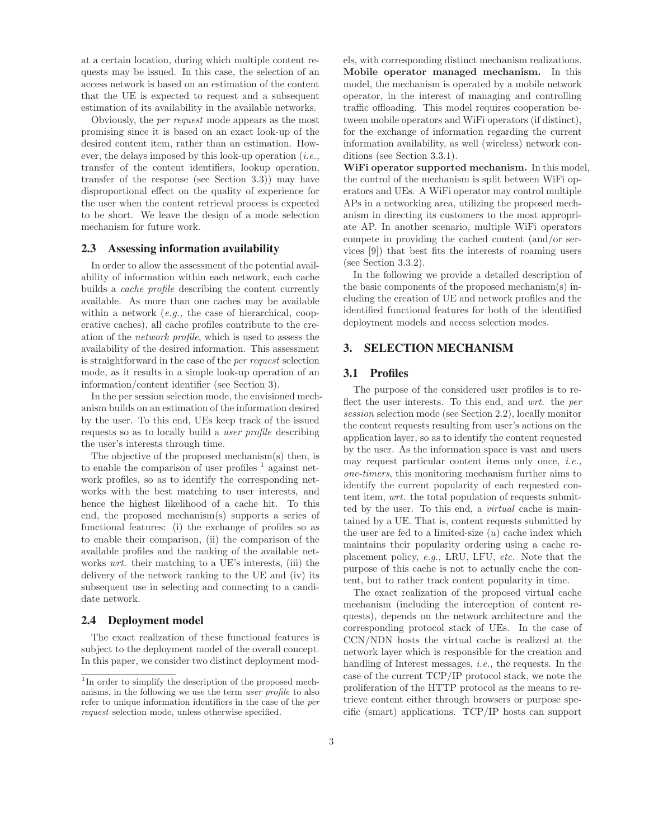at a certain location, during which multiple content requests may be issued. In this case, the selection of an access network is based on an estimation of the content that the UE is expected to request and a subsequent estimation of its availability in the available networks.

Obviously, the per request mode appears as the most promising since it is based on an exact look-up of the desired content item, rather than an estimation. However, the delays imposed by this look-up operation  $(i.e.,$ transfer of the content identifiers, lookup operation, transfer of the response (see Section 3.3)) may have disproportional effect on the quality of experience for the user when the content retrieval process is expected to be short. We leave the design of a mode selection mechanism for future work.

#### 2.3 Assessing information availability

In order to allow the assessment of the potential availability of information within each network, each cache builds a cache profile describing the content currently available. As more than one caches may be available within a network  $(e.q.,\)$  the case of hierarchical, cooperative caches), all cache profiles contribute to the creation of the network profile, which is used to assess the availability of the desired information. This assessment is straightforward in the case of the per request selection mode, as it results in a simple look-up operation of an information/content identifier (see Section 3).

In the per session selection mode, the envisioned mechanism builds on an estimation of the information desired by the user. To this end, UEs keep track of the issued requests so as to locally build a user profile describing the user's interests through time.

The objective of the proposed mechanism(s) then, is to enable the comparison of user profiles  $\frac{1}{1}$  against network profiles, so as to identify the corresponding networks with the best matching to user interests, and hence the highest likelihood of a cache hit. To this end, the proposed mechanism(s) supports a series of functional features: (i) the exchange of profiles so as to enable their comparison, (ii) the comparison of the available profiles and the ranking of the available networks *wrt*. their matching to a UE's interests, (iii) the delivery of the network ranking to the UE and (iv) its subsequent use in selecting and connecting to a candidate network.

## 2.4 Deployment model

The exact realization of these functional features is subject to the deployment model of the overall concept. In this paper, we consider two distinct deployment models, with corresponding distinct mechanism realizations. **Mobile operator managed mechanism.** In this model, the mechanism is operated by a mobile network operator, in the interest of managing and controlling traffic offloading. This model requires cooperation between mobile operators and WiFi operators (if distinct), for the exchange of information regarding the current information availability, as well (wireless) network conditions (see Section 3.3.1).

**WiFi operator supported mechanism.** In this model, the control of the mechanism is split between WiFi operators and UEs. A WiFi operator may control multiple APs in a networking area, utilizing the proposed mechanism in directing its customers to the most appropriate AP. In another scenario, multiple WiFi operators compete in providing the cached content (and/or services [9]) that best fits the interests of roaming users (see Section 3.3.2).

In the following we provide a detailed description of the basic components of the proposed mechanism(s) including the creation of UE and network profiles and the identified functional features for both of the identified deployment models and access selection modes.

## 3. SELECTION MECHANISM

## 3.1 Profiles

The purpose of the considered user profiles is to reflect the user interests. To this end, and wrt. the per session selection mode (see Section 2.2), locally monitor the content requests resulting from user's actions on the application layer, so as to identify the content requested by the user. As the information space is vast and users may request particular content items only once, i.e., one-timers, this monitoring mechanism further aims to identify the current popularity of each requested content item, wrt. the total population of requests submitted by the user. To this end, a *virtual* cache is maintained by a UE. That is, content requests submitted by the user are fed to a limited-size  $(u)$  cache index which maintains their popularity ordering using a cache replacement policy, e.g., LRU, LFU, etc. Note that the purpose of this cache is not to actually cache the content, but to rather track content popularity in time.

The exact realization of the proposed virtual cache mechanism (including the interception of content requests), depends on the network architecture and the corresponding protocol stack of UEs. In the case of CCN/NDN hosts the virtual cache is realized at the network layer which is responsible for the creation and handling of Interest messages, i.e., the requests. In the case of the current TCP/IP protocol stack, we note the proliferation of the HTTP protocol as the means to retrieve content either through browsers or purpose specific (smart) applications. TCP/IP hosts can support

 $\overline{1}_{\text{In}}$  order to simplify the description of the proposed mechanisms, in the following we use the term user profile to also refer to unique information identifiers in the case of the per request selection mode, unless otherwise specified.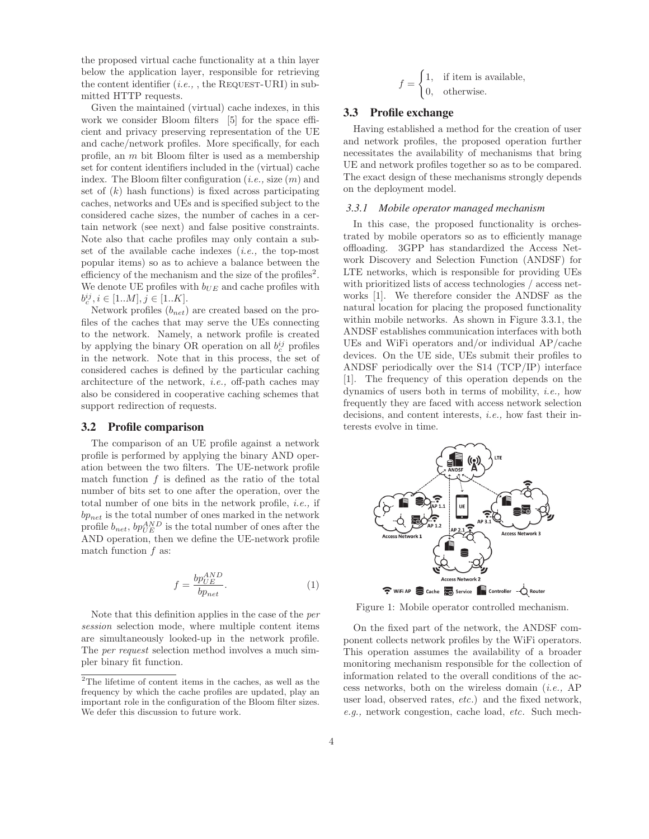the proposed virtual cache functionality at a thin layer below the application layer, responsible for retrieving the content identifier  $(i.e.,$ , the REQUEST-URI) in submitted HTTP requests.

Given the maintained (virtual) cache indexes, in this work we consider Bloom filters [5] for the space efficient and privacy preserving representation of the UE and cache/network profiles. More specifically, for each profile, an m bit Bloom filter is used as a membership set for content identifiers included in the (virtual) cache index. The Bloom filter configuration (*i.e.*, size  $(m)$ ) and set of  $(k)$  hash functions) is fixed across participating caches, networks and UEs and is specified subject to the considered cache sizes, the number of caches in a certain network (see next) and false positive constraints. Note also that cache profiles may only contain a subset of the available cache indexes  $(i.e.,$  the top-most popular items) so as to achieve a balance between the efficiency of the mechanism and the size of the profiles<sup>2</sup>. We denote UE profiles with  $b_{UE}$  and cache profiles with  $b_c^{ij}, i \in [1..M], j \in [1..K].$ 

Network profiles  $(b_{net})$  are created based on the profiles of the caches that may serve the UEs connecting to the network. Namely, a network profile is created by applying the binary OR operation on all  $b_c^{ij}$  profiles in the network. Note that in this process, the set of considered caches is defined by the particular caching architecture of the network, i.e., off-path caches may also be considered in cooperative caching schemes that support redirection of requests.

#### 3.2 Profile comparison

The comparison of an UE profile against a network profile is performed by applying the binary AND operation between the two filters. The UE-network profile match function  $f$  is defined as the ratio of the total number of bits set to one after the operation, over the total number of one bits in the network profile, i.e., if  $bp_{net}$  is the total number of ones marked in the network profile  $b_{net}$ ,  $bp_{UE}^{AND}$  is the total number of ones after the AND operation, then we define the UE-network profile match function f as:

$$
f = \frac{bp_{UE}^{AND}}{bp_{net}}.\t(1)
$$

Note that this definition applies in the case of the per session selection mode, where multiple content items are simultaneously looked-up in the network profile. The per request selection method involves a much simpler binary fit function.

$$
f = \begin{cases} 1, & \text{if item is available,} \\ 0, & \text{otherwise.} \end{cases}
$$

## 3.3 Profile exchange

Having established a method for the creation of user and network profiles, the proposed operation further necessitates the availability of mechanisms that bring UE and network profiles together so as to be compared. The exact design of these mechanisms strongly depends on the deployment model.

## *3.3.1 Mobile operator managed mechanism*

In this case, the proposed functionality is orchestrated by mobile operators so as to efficiently manage offloading. 3GPP has standardized the Access Network Discovery and Selection Function (ANDSF) for LTE networks, which is responsible for providing UEs with prioritized lists of access technologies / access networks [1]. We therefore consider the ANDSF as the natural location for placing the proposed functionality within mobile networks. As shown in Figure 3.3.1, the ANDSF establishes communication interfaces with both UEs and WiFi operators and/or individual AP/cache devices. On the UE side, UEs submit their profiles to ANDSF periodically over the S14 (TCP/IP) interface [1]. The frequency of this operation depends on the dynamics of users both in terms of mobility, i.e., how frequently they are faced with access network selection decisions, and content interests, *i.e.*, how fast their interests evolve in time.



Figure 1: Mobile operator controlled mechanism.

On the fixed part of the network, the ANDSF component collects network profiles by the WiFi operators. This operation assumes the availability of a broader monitoring mechanism responsible for the collection of information related to the overall conditions of the access networks, both on the wireless domain  $(i.e., AP)$ user load, observed rates, etc.) and the fixed network, e.g., network congestion, cache load, etc. Such mech-

 $2$ The lifetime of content items in the caches, as well as the frequency by which the cache profiles are updated, play an important role in the configuration of the Bloom filter sizes. We defer this discussion to future work.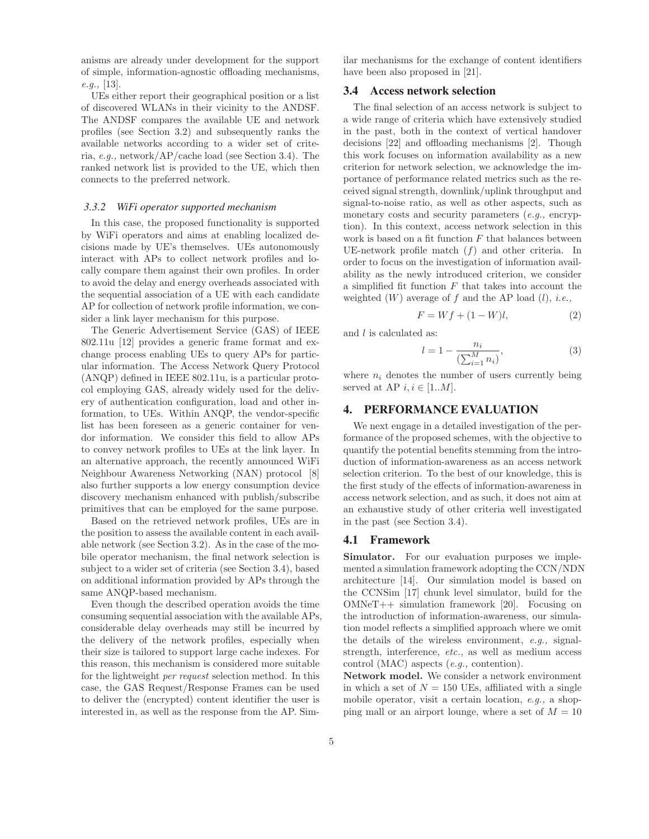anisms are already under development for the support of simple, information-agnostic offloading mechanisms, e.g., [13].

UEs either report their geographical position or a list of discovered WLANs in their vicinity to the ANDSF. The ANDSF compares the available UE and network profiles (see Section 3.2) and subsequently ranks the available networks according to a wider set of criteria, e.g., network/AP/cache load (see Section 3.4). The ranked network list is provided to the UE, which then connects to the preferred network.

#### *3.3.2 WiFi operator supported mechanism*

In this case, the proposed functionality is supported by WiFi operators and aims at enabling localized decisions made by UE's themselves. UEs autonomously interact with APs to collect network profiles and locally compare them against their own profiles. In order to avoid the delay and energy overheads associated with the sequential association of a UE with each candidate AP for collection of network profile information, we consider a link layer mechanism for this purpose.

The Generic Advertisement Service (GAS) of IEEE 802.11u [12] provides a generic frame format and exchange process enabling UEs to query APs for particular information. The Access Network Query Protocol (ANQP) defined in IEEE 802.11u, is a particular protocol employing GAS, already widely used for the delivery of authentication configuration, load and other information, to UEs. Within ANQP, the vendor-specific list has been foreseen as a generic container for vendor information. We consider this field to allow APs to convey network profiles to UEs at the link layer. In an alternative approach, the recently announced WiFi Neighbour Awareness Networking (NAN) protocol [8] also further supports a low energy consumption device discovery mechanism enhanced with publish/subscribe primitives that can be employed for the same purpose.

Based on the retrieved network profiles, UEs are in the position to assess the available content in each available network (see Section 3.2). As in the case of the mobile operator mechanism, the final network selection is subject to a wider set of criteria (see Section 3.4), based on additional information provided by APs through the same ANQP-based mechanism.

Even though the described operation avoids the time consuming sequential association with the available APs, considerable delay overheads may still be incurred by the delivery of the network profiles, especially when their size is tailored to support large cache indexes. For this reason, this mechanism is considered more suitable for the lightweight per request selection method. In this case, the GAS Request/Response Frames can be used to deliver the (encrypted) content identifier the user is interested in, as well as the response from the AP. Similar mechanisms for the exchange of content identifiers have been also proposed in [21].

#### 3.4 Access network selection

The final selection of an access network is subject to a wide range of criteria which have extensively studied in the past, both in the context of vertical handover decisions [22] and offloading mechanisms [2]. Though this work focuses on information availability as a new criterion for network selection, we acknowledge the importance of performance related metrics such as the received signal strength, downlink/uplink throughput and signal-to-noise ratio, as well as other aspects, such as monetary costs and security parameters  $(e.g.,$  encryption). In this context, access network selection in this work is based on a fit function  $F$  that balances between UE-network profile match  $(f)$  and other criteria. In order to focus on the investigation of information availability as the newly introduced criterion, we consider a simplified fit function  $F$  that takes into account the weighted  $(W)$  average of f and the AP load  $(l)$ , *i.e.*,

$$
F = Wf + (1 - W)l, \tag{2}
$$

and 
$$
l
$$
 is calculated as:

$$
l = 1 - \frac{n_i}{\left(\sum_{i=1}^{M} n_i\right)},
$$
\n(3)

where  $n_i$  denotes the number of users currently being served at AP  $i, i \in [1..M]$ .

# 4. PERFORMANCE EVALUATION

We next engage in a detailed investigation of the performance of the proposed schemes, with the objective to quantify the potential benefits stemming from the introduction of information-awareness as an access network selection criterion. To the best of our knowledge, this is the first study of the effects of information-awareness in access network selection, and as such, it does not aim at an exhaustive study of other criteria well investigated in the past (see Section 3.4).

## 4.1 Framework

**Simulator.** For our evaluation purposes we implemented a simulation framework adopting the CCN/NDN architecture [14]. Our simulation model is based on the CCNSim [17] chunk level simulator, build for the OMNeT++ simulation framework [20]. Focusing on the introduction of information-awareness, our simulation model reflects a simplified approach where we omit the details of the wireless environment, e.g., signalstrength, interference, etc., as well as medium access control (MAC) aspects (e.g., contention).

**Network model.** We consider a network environment in which a set of  $N = 150$  UEs, affiliated with a single mobile operator, visit a certain location, e.g., a shopping mall or an airport lounge, where a set of  $M = 10$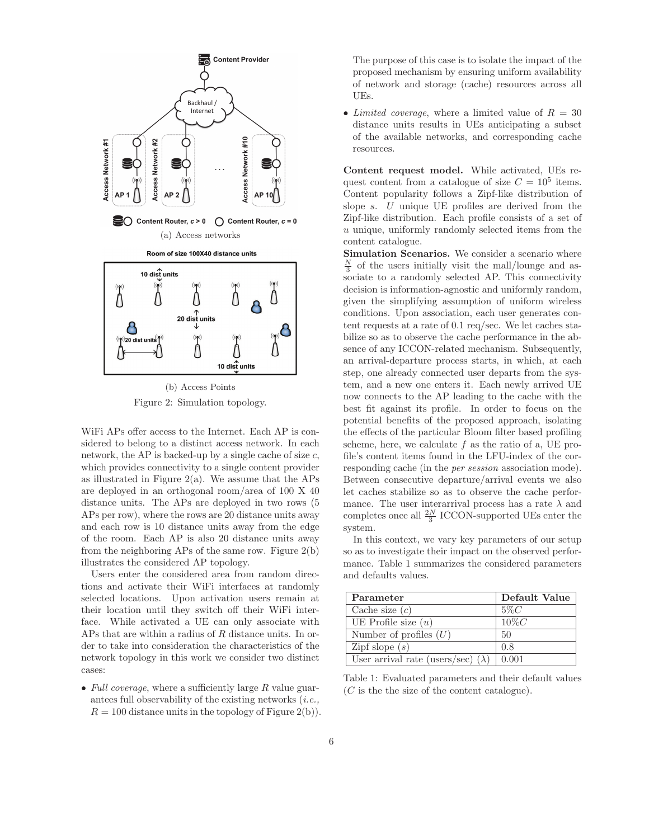

Figure 2: Simulation topology.

WiFi APs offer access to the Internet. Each AP is considered to belong to a distinct access network. In each network, the AP is backed-up by a single cache of size  $c$ , which provides connectivity to a single content provider as illustrated in Figure 2(a). We assume that the APs are deployed in an orthogonal room/area of 100 X 40 distance units. The APs are deployed in two rows (5 APs per row), where the rows are 20 distance units away and each row is 10 distance units away from the edge of the room. Each AP is also 20 distance units away from the neighboring APs of the same row. Figure 2(b) illustrates the considered AP topology.

Users enter the considered area from random directions and activate their WiFi interfaces at randomly selected locations. Upon activation users remain at their location until they switch off their WiFi interface. While activated a UE can only associate with APs that are within a radius of R distance units. In order to take into consideration the characteristics of the network topology in this work we consider two distinct cases:

• Full coverage, where a sufficiently large  $R$  value guarantees full observability of the existing networks  $(i.e.,$  $R = 100$  distance units in the topology of Figure 2(b)). The purpose of this case is to isolate the impact of the proposed mechanism by ensuring uniform availability of network and storage (cache) resources across all UEs.

• Limited coverage, where a limited value of  $R = 30$ distance units results in UEs anticipating a subset of the available networks, and corresponding cache resources.

**Content request model.** While activated, UEs request content from a catalogue of size  $C = 10^5$  items. Content popularity follows a Zipf-like distribution of slope s. U unique UE profiles are derived from the Zipf-like distribution. Each profile consists of a set of  $u$  unique, uniformly randomly selected items from the content catalogue.

**Simulation Scenarios.** We consider a scenario where  $\frac{N}{3}$  of the users initially visit the mall/lounge and associate to a randomly selected AP. This connectivity decision is information-agnostic and uniformly random, given the simplifying assumption of uniform wireless conditions. Upon association, each user generates content requests at a rate of 0.1 req/sec. We let caches stabilize so as to observe the cache performance in the absence of any ICCON-related mechanism. Subsequently, an arrival-departure process starts, in which, at each step, one already connected user departs from the system, and a new one enters it. Each newly arrived UE now connects to the AP leading to the cache with the best fit against its profile. In order to focus on the potential benefits of the proposed approach, isolating the effects of the particular Bloom filter based profiling scheme, here, we calculate  $f$  as the ratio of a, UE profile's content items found in the LFU-index of the corresponding cache (in the per session association mode). Between consecutive departure/arrival events we also let caches stabilize so as to observe the cache performance. The user interarrival process has a rate  $\lambda$  and completes once all  $\frac{2N}{3}$  ICCON-supported UEs enter the system.

In this context, we vary key parameters of our setup so as to investigate their impact on the observed performance. Table 1 summarizes the considered parameters and defaults values.

| Parameter                                 | Default Value |
|-------------------------------------------|---------------|
| Cache size $(c)$                          | $5\%C$        |
| UE Profile size $(u)$                     | $10\%C$       |
| Number of profiles $(U)$                  | 50            |
| Zipf slope $(s)$                          | 0.8           |
| User arrival rate (users/sec) $(\lambda)$ | 0.001         |

Table 1: Evaluated parameters and their default values (C is the the size of the content catalogue).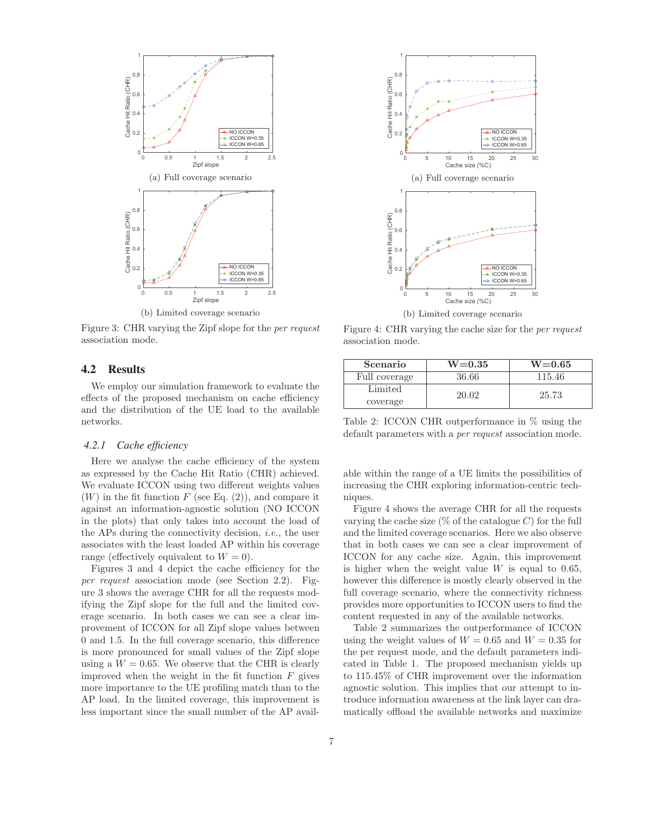

Figure 3: CHR varying the Zipf slope for the per request association mode.

# 4.2 Results

We employ our simulation framework to evaluate the effects of the proposed mechanism on cache efficiency and the distribution of the UE load to the available networks.

#### *4.2.1 Cache efficiency*

Here we analyse the cache efficiency of the system as expressed by the Cache Hit Ratio (CHR) achieved. We evaluate ICCON using two different weights values  $(W)$  in the fit function F (see Eq. (2)), and compare it against an information-agnostic solution (NO ICCON in the plots) that only takes into account the load of the APs during the connectivity decision, i.e., the user associates with the least loaded AP within his coverage range (effectively equivalent to  $W = 0$ ).

Figures 3 and 4 depict the cache efficiency for the per request association mode (see Section 2.2). Figure 3 shows the average CHR for all the requests modifying the Zipf slope for the full and the limited coverage scenario. In both cases we can see a clear improvement of ICCON for all Zipf slope values between 0 and 1.5. In the full coverage scenario, this difference is more pronounced for small values of the Zipf slope using a  $W = 0.65$ . We observe that the CHR is clearly improved when the weight in the fit function  $F$  gives more importance to the UE profiling match than to the AP load. In the limited coverage, this improvement is less important since the small number of the AP avail-



Figure 4: CHR varying the cache size for the *per request* association mode.

| Scenario      | $W = 0.35$ | $W = 0.65$ |
|---------------|------------|------------|
| Full coverage | 36.66      | 115.46     |
| Limited       | 20.02      | 25.73      |
| coverage      |            |            |

Table 2: ICCON CHR outperformance in % using the default parameters with a *per request* association mode.

able within the range of a UE limits the possibilities of increasing the CHR exploring information-centric techniques.

Figure 4 shows the average CHR for all the requests varying the cache size  $(\%$  of the catalogue C) for the full and the limited coverage scenarios. Here we also observe that in both cases we can see a clear improvement of ICCON for any cache size. Again, this improvement is higher when the weight value  $W$  is equal to 0.65, however this difference is mostly clearly observed in the full coverage scenario, where the connectivity richness provides more opportunities to ICCON users to find the content requested in any of the available networks.

Table 2 summarizes the outperformance of ICCON using the weight values of  $W = 0.65$  and  $W = 0.35$  for the per request mode, and the default parameters indicated in Table 1. The proposed mechanism yields up to 115.45% of CHR improvement over the information agnostic solution. This implies that our attempt to introduce information awareness at the link layer can dramatically offload the available networks and maximize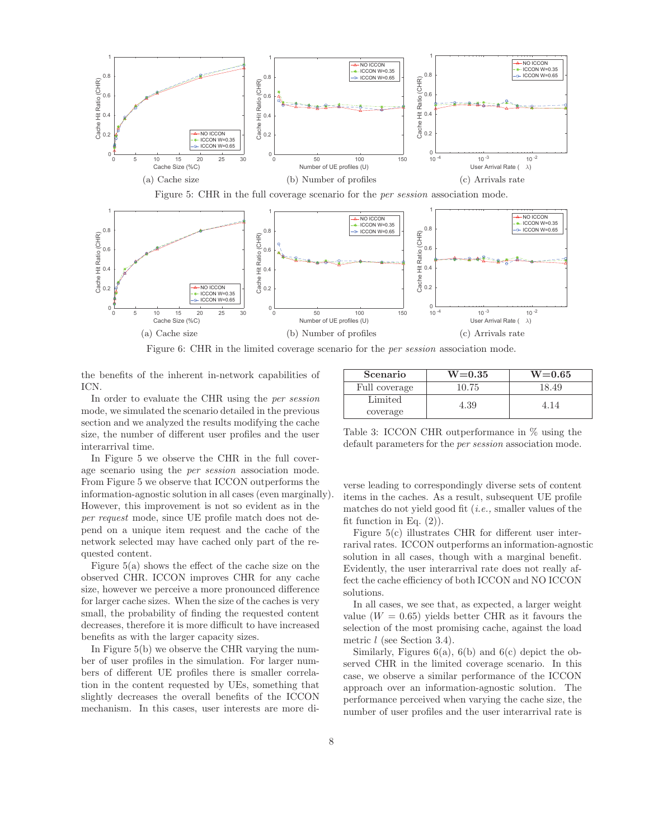



Figure 6: CHR in the limited coverage scenario for the *per session* association mode.

the benefits of the inherent in-network capabilities of ICN.

In order to evaluate the CHR using the per session mode, we simulated the scenario detailed in the previous section and we analyzed the results modifying the cache size, the number of different user profiles and the user interarrival time.

In Figure 5 we observe the CHR in the full coverage scenario using the per session association mode. From Figure 5 we observe that ICCON outperforms the information-agnostic solution in all cases (even marginally). However, this improvement is not so evident as in the per request mode, since UE profile match does not depend on a unique item request and the cache of the network selected may have cached only part of the requested content.

Figure 5(a) shows the effect of the cache size on the observed CHR. ICCON improves CHR for any cache size, however we perceive a more pronounced difference for larger cache sizes. When the size of the caches is very small, the probability of finding the requested content decreases, therefore it is more difficult to have increased benefits as with the larger capacity sizes.

In Figure 5(b) we observe the CHR varying the number of user profiles in the simulation. For larger numbers of different UE profiles there is smaller correlation in the content requested by UEs, something that slightly decreases the overall benefits of the ICCON mechanism. In this cases, user interests are more di-

| Scenario      | $W = 0.35$ | $W = 0.65$ |
|---------------|------------|------------|
| Full coverage | 10.75      | 18.49      |
| Limited       | 4.39       | 414        |
| coverage      |            |            |

Table 3: ICCON CHR outperformance in % using the default parameters for the *per session* association mode.

verse leading to correspondingly diverse sets of content items in the caches. As a result, subsequent UE profile matches do not yield good fit  $(i.e., smaller values of the)$ fit function in Eq.  $(2)$ ).

Figure 5(c) illustrates CHR for different user interrarival rates. ICCON outperforms an information-agnostic solution in all cases, though with a marginal benefit. Evidently, the user interarrival rate does not really affect the cache efficiency of both ICCON and NO ICCON solutions.

In all cases, we see that, as expected, a larger weight value  $(W = 0.65)$  yields better CHR as it favours the selection of the most promising cache, against the load metric l (see Section 3.4).

Similarly, Figures 6(a), 6(b) and 6(c) depict the observed CHR in the limited coverage scenario. In this case, we observe a similar performance of the ICCON approach over an information-agnostic solution. The performance perceived when varying the cache size, the number of user profiles and the user interarrival rate is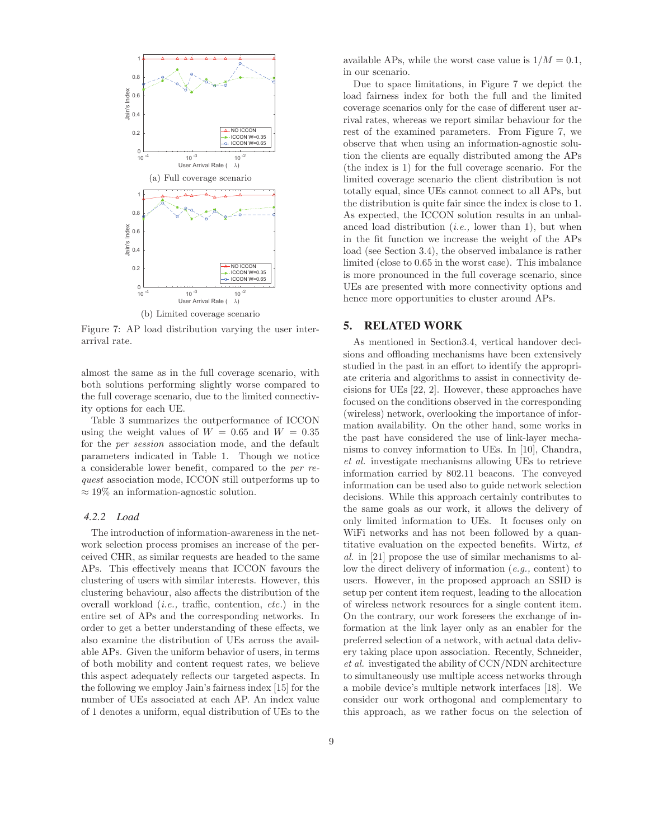

Figure 7: AP load distribution varying the user interarrival rate.

almost the same as in the full coverage scenario, with both solutions performing slightly worse compared to the full coverage scenario, due to the limited connectivity options for each UE.

Table 3 summarizes the outperformance of ICCON using the weight values of  $W = 0.65$  and  $W = 0.35$ for the per session association mode, and the default parameters indicated in Table 1. Though we notice a considerable lower benefit, compared to the per request association mode, ICCON still outperforms up to  $\approx 19\%$  an information-agnostic solution.

## *4.2.2 Load*

The introduction of information-awareness in the network selection process promises an increase of the perceived CHR, as similar requests are headed to the same APs. This effectively means that ICCON favours the clustering of users with similar interests. However, this clustering behaviour, also affects the distribution of the overall workload (i.e., traffic, contention, etc.) in the entire set of APs and the corresponding networks. In order to get a better understanding of these effects, we also examine the distribution of UEs across the available APs. Given the uniform behavior of users, in terms of both mobility and content request rates, we believe this aspect adequately reflects our targeted aspects. In the following we employ Jain's fairness index [15] for the number of UEs associated at each AP. An index value of 1 denotes a uniform, equal distribution of UEs to the available APs, while the worst case value is  $1/M = 0.1$ , in our scenario.

Due to space limitations, in Figure 7 we depict the load fairness index for both the full and the limited coverage scenarios only for the case of different user arrival rates, whereas we report similar behaviour for the rest of the examined parameters. From Figure 7, we observe that when using an information-agnostic solution the clients are equally distributed among the APs (the index is 1) for the full coverage scenario. For the limited coverage scenario the client distribution is not totally equal, since UEs cannot connect to all APs, but the distribution is quite fair since the index is close to 1. As expected, the ICCON solution results in an unbalanced load distribution  $(i.e.,$  lower than 1), but when in the fit function we increase the weight of the APs load (see Section 3.4), the observed imbalance is rather limited (close to 0.65 in the worst case). This imbalance is more pronounced in the full coverage scenario, since UEs are presented with more connectivity options and hence more opportunities to cluster around APs.

# 5. RELATED WORK

As mentioned in Section3.4, vertical handover decisions and offloading mechanisms have been extensively studied in the past in an effort to identify the appropriate criteria and algorithms to assist in connectivity decisions for UEs [22, 2]. However, these approaches have focused on the conditions observed in the corresponding (wireless) network, overlooking the importance of information availability. On the other hand, some works in the past have considered the use of link-layer mechanisms to convey information to UEs. In [10], Chandra, et al. investigate mechanisms allowing UEs to retrieve information carried by 802.11 beacons. The conveyed information can be used also to guide network selection decisions. While this approach certainly contributes to the same goals as our work, it allows the delivery of only limited information to UEs. It focuses only on WiFi networks and has not been followed by a quantitative evaluation on the expected benefits. Wirtz, et al. in [21] propose the use of similar mechanisms to allow the direct delivery of information (e.g., content) to users. However, in the proposed approach an SSID is setup per content item request, leading to the allocation of wireless network resources for a single content item. On the contrary, our work foresees the exchange of information at the link layer only as an enabler for the preferred selection of a network, with actual data delivery taking place upon association. Recently, Schneider, et al. investigated the ability of CCN/NDN architecture to simultaneously use multiple access networks through a mobile device's multiple network interfaces [18]. We consider our work orthogonal and complementary to this approach, as we rather focus on the selection of